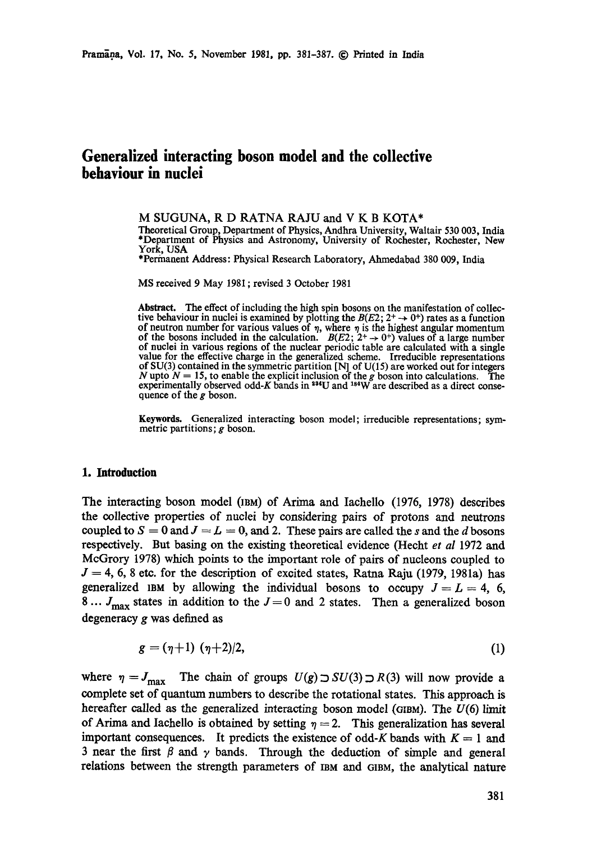# **Generalized interacting boson model and the collective behaviour in nuclei**

M SUGUNA, R D RATNA RAJU and V K B KOTA\* Theoretical Group, Department of Physics, Andhra University, Waltair 530 003, India \*Department of Physics and Astronomy, University of Rochester, Rochester, New York, USA

\*Permanent Address: Physical Research Laboratory, Ahmedabad 380 009, India

MS received 9 May 1981 ; revised 3 October 1981

Abstract. The effect of including the high spin bosons on the manifestation of collective behaviour in nuclei is examined by plotting the  $B(E2; 2^+ \rightarrow 0^+)$  rates as a function of neutron number for various values of  $\eta$ , where  $\eta$  is the highest angular momentum of the bosons included in the calculation.  $B(E2; 2^+ \rightarrow 0^+)$  values of a large number of nuclei in various regions of the nuclear periodic table are calculated with a single value for the effective charge in the generalized scheme. Irreducible representations of SU(3) contained in the symmetric partition [N] of U(15) are worked out for integers N upto  $N = 15$ , to enable the explicit inclusion of the g boson into calculations. The experimentally observed odd-K bands in  $^{234}U$  and  $^{184}W$  are described as a direct consequence of the g boson.

**Keywords.** Generalized interacting boson model; irreducible representations; symmetric partitions; g boson.

### **1. Introduction**

The interacting boson model (IBM) of Arima and Iachello (1976, 1978) describes the collective properties of nuclei by considering pairs of protons and neutrons coupled to  $S = 0$  and  $J = L = 0$ , and 2. These pairs are called the s and the d bosons respectively. But basing on the existing theoretical evidence (Hecht *et al* 1972 and McGrory 1978) which points to the important role of pairs of nucleons coupled to  $J = 4, 6, 8$  etc. for the description of excited states, Ratna Raju (1979, 1981a) has generalized IBM by allowing the individual bosons to occupy  $J = L = 4, 6,$ 8...  $J_{\text{max}}$  states in addition to the  $J=0$  and 2 states. Then a generalized boson degeneracy g was defined as

$$
g = (\eta + 1) (\eta + 2)/2, \tag{1}
$$

where  $\eta = J_{\text{max}}$  The chain of groups  $U(g) \supset SU(3) \supset R(3)$  will now provide a complete set of quantum numbers to describe the rotational states. This approach is hereafter called as the generalized interacting boson model (GIBM). The  $U(6)$  limit of Arima and Iachello is obtained by setting  $\eta = 2$ . This generalization has several important consequences. It predicts the existence of odd-K bands with  $K = 1$  and 3 near the first  $\beta$  and  $\gamma$  bands. Through the deduction of simple and general relations between the strength parameters of IBM and GIBM, the analytical nature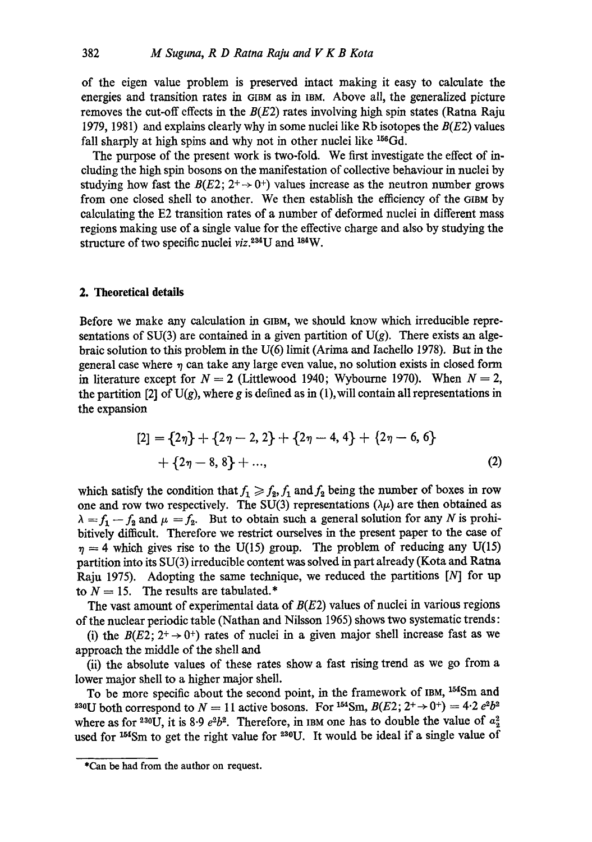of the eigen value problem is preserved intact making it easy to calculate the energies and transition rates in GIBM as in IBM. Above all, the generalized picture removes the cut-off effects in the  $B(E2)$  rates involving high spin states (Ratna Raju 1979, 1981) and explains clearly why in some nuclei like Rb isotopes the  $B(E2)$  values fall sharply at high spins and why not in other nuclei like <sup>156</sup>Gd.

The purpose of the present work is two-fold. We first investigate the effect of ineluding the high spin bosons on the manifestation of collective behaviour in nuclei by studying how fast the  $B(E2; 2^+ \rightarrow 0^+)$  values increase as the neutron number grows from one dosed shell to another. We then establish the efficiency of the Gram by calculating the E2 transition rates of a number of deformed nuclei in different mass regions making use of a single value for the effective charge and also by studying the structure of two specific nuclei viz.<sup>234</sup>U and <sup>184</sup>W.

### **2. Theoretical details**

Before we make any calculation in GIBM, we should know which irreducible representations of SU(3) are contained in a given partition of U(g). There exists an algebraic solution to this problem in the U(6) limit (Arima and Iachello 1978). But in the general case where  $\eta$  can take any large even value, no solution exists in closed form in literature except for  $N = 2$  (Littlewood 1940; Wybourne 1970). When  $N = 2$ , the partition [2] of  $U(g)$ , where g is defined as in (1), will contain all representations in the expansion

$$
[2] = {2\eta} + {2\eta - 2, 2} + {2\eta - 4, 4} + {2\eta - 6, 6} + {2\eta - 8, 8} + \dots,
$$
\n(2)

which satisfy the condition that  $f_1 \geqslant f_2$ ,  $f_1$  and  $f_2$  being the number of boxes in row one and row two respectively. The SU(3) representations ( $\lambda \mu$ ) are then obtained as  $\lambda = f_1 - f_2$  and  $\mu = f_2$ . But to obtain such a general solution for any N is prohibitively difficult. Therefore we restrict ourselves in the present paper to the case of  $\eta = 4$  which gives rise to the U(15) group. The problem of reducing any U(15) partition into its SU(3) irreducible content was solved in part already (Kota and Patna Raju 1975). Adopting the same technique, we reduced the partitions [N] for up to  $N = 15$ . The results are tabulated.\*

The vast amount of experimental data of  $B(E2)$  values of nuclei in various regions of the nuclear periodic table (Nathan and Nilsson 1965) shows two systematic trends:

(i) the  $B(E2; 2^+ \rightarrow 0^+)$  rates of nuclei in a given major shell increase fast as we approach the middle of the shell and

(ii) the absolute values of these rates show a fast rising trend as we go from a lower major shell to a higher major shell.

To be more specific about the second point, in the framework of IBM, <sup>154</sup>Sm and <sup>230</sup>U both correspond to  $N = 11$  active bosons. For <sup>154</sup>Sm,  $B(E2; 2^+ \rightarrow 0^+) = 4 \cdot 2 e^2 b^2$ where as for <sup>230</sup>U, it is 8.9  $e^2b^2$ . Therefore, in IBM one has to double the value of  $a_2^2$ used for  $^{154}$ Sm to get the right value for  $^{230}$ U. It would be ideal if a single value of

<sup>\*</sup>Can be had from the author on request.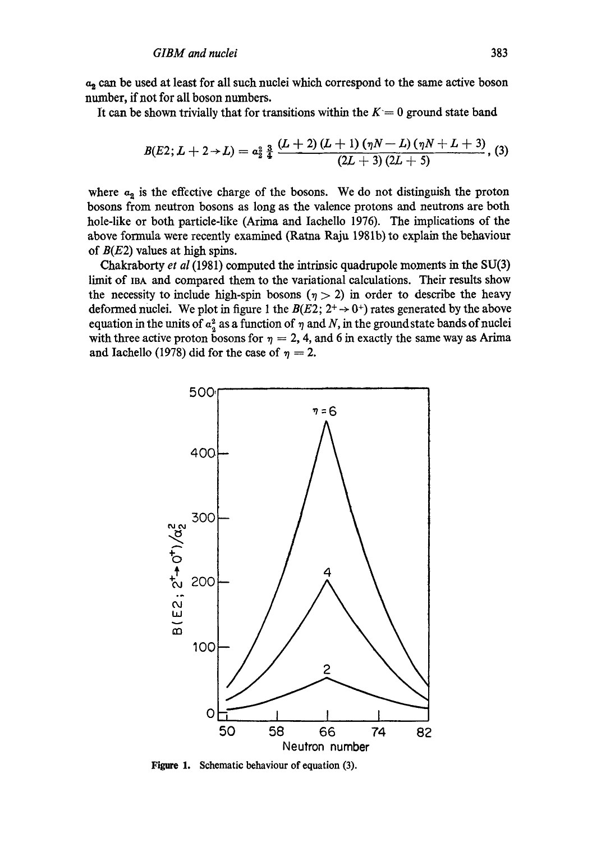$a_2$  can be used at least for all such nuclei which correspond to the same active boson number, if not for all boson numbers.

It can be shown trivially that for transitions within the  $K= 0$  ground state band

$$
B(E2; L+2 \rightarrow L) = a_2^2 \frac{3}{4} \frac{(L+2) (L+1) (\eta N-L) (\eta N+L+3)}{(2L+3) (2L+5)},
$$
 (3)

where  $a_2$  is the effective charge of the bosons. We do not distinguish the proton bosons from neutron bosom as long as the valence protons and neutrons are both hole-like or both particle-like (Arima and Iachello 1976). The implications of the above formula were recently examined (Ratna Raju 1981b) to explain the behaviour of  $B(E2)$  values at high spins.

Chakraborty *et al* (1981) computed the intrinsic quadrupole moments in the SU(3) limit of mA and compared them to the variational calculations. Their results show the necessity to include high-spin bosons ( $\eta > 2$ ) in order to describe the heavy deformed nuclei. We plot in figure 1 the  $B(E2; 2^+ \rightarrow 0^+)$  rates generated by the above equation in the units of  $a^2$  as a function of  $\eta$  and N, in the ground state bands of nuclei with three active proton bosons for  $\eta = 2$ , 4, and 6 in exactly the same way as Arima and Iachello (1978) did for the case of  $\eta = 2$ .



**Figure 1. Schematic behaviour of equation (3).**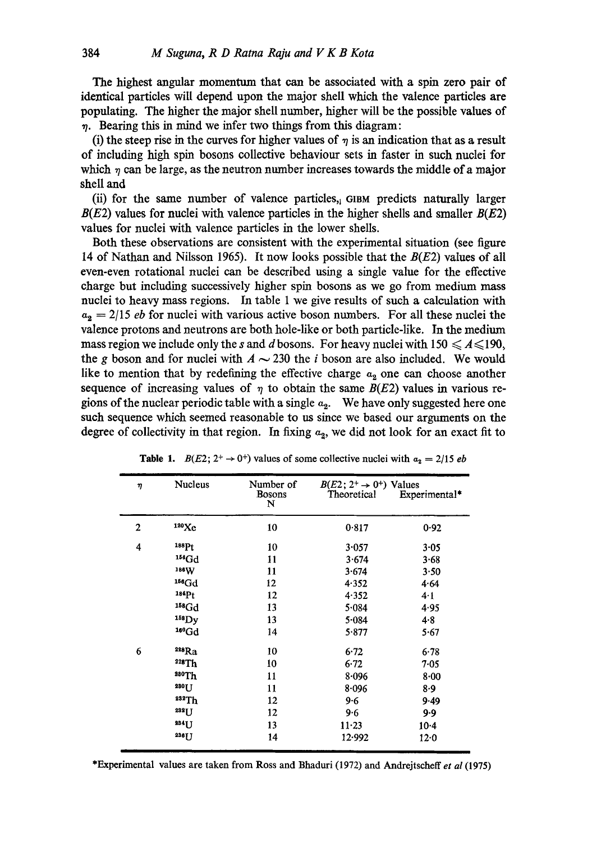The highest angular momentum that can be associated with a spin zero pair of identical particles will depend upon the major shell which the valence particles are populating. The higher the major shell number, higher will be the possible values of  $\eta$ . Bearing this in mind we infer two things from this diagram:

(i) the steep rise in the curves for higher values of  $\eta$  is an indication that as a result of including high spin bosons collective behaviour sets in faster in such nuclei for which  $\eta$  can be large, as the neutron number increases towards the middle of a major shell and

(ii) for the same number of valence particles,  $\alpha$  on predicts naturally larger  $B(E2)$  values for nuclei with valence particles in the higher shells and smaller  $B(E2)$ values for nuclei with valence particles in the lower shells.

Both these observations are consistent with the experimental situation (see figure 14 of Nathan and Nilsson 1965). It now looks possible that the  $B(E2)$  values of all even-even rotational nuclei can be described using a single value for the effective charge but including successively higher spin bosons as we go from medium mass nuclei to heavy mass regions. In table 1 we give results of such a calculation with  $a_2 = 2/15$  *eb* for nuclei with various active boson numbers. For all these nuclei the valence protons and neutrons are both hole-like or both particle-like. In the medium mass region we include only the s and d bosons. For heavy nuclei with  $150 \leq A \leq 190$ , the g boson and for nuclei with  $A \sim 230$  the i boson are also included. We would like to mention that by redefining the effective charge  $a_2$  one can choose another sequence of increasing values of  $\eta$  to obtain the same  $B(E2)$  values in various regions of the nuclear periodic table with a single  $a_2$ . We have only suggested here one such sequence which seemed reasonable to us since we based our arguments on the degree of collectivity in that region. In fixing  $a_2$ , we did not look for an exact fit to

| η              | <b>Nucleus</b>    | Number of<br><b>Bosons</b><br>N | $B(E2; 2^+ \rightarrow 0^+)$ Values<br>Theoretical | Experimental* |
|----------------|-------------------|---------------------------------|----------------------------------------------------|---------------|
| $\overline{2}$ | 120Xe             | 10                              | 0.817                                              | 0.92          |
| 4              | 188P <sub>t</sub> | 10                              | 3.057                                              | $3 - 05$      |
|                | $154$ Gd          | 11                              | 3.674                                              | 3.68          |
|                | 186W              | 11                              | 3.674                                              | 3.50          |
|                | $156$ Gd          | 12                              | 4.352                                              | 4.64          |
|                | 184Pt             | 12                              | 4.352                                              | 4.1           |
|                | $158$ Gd          | 13                              | 5.084                                              | 4.95          |
|                | $158$ Dy          | 13                              | 5.084                                              | 4.8           |
|                | $160 \text{Gd}$   | 14                              | 5.877                                              | 5.67          |
| 6              | 228Ra             | 10                              | 6.72                                               | 6.78          |
|                | 228Th             | 10                              | 6.72                                               | 7.05          |
|                | 280Th             | 11                              | 8.096                                              | $8 - 00$      |
|                | 280TT             | 11                              | $8 - 096$                                          | 8.9           |
|                | 232Th             | 12                              | $9 - 6$                                            | 9.49          |
|                | 232LJ             | 12                              | 9.6                                                | 9.9           |
|                | 234JJ             | 13                              | $11 - 23$                                          | $10-4$        |
|                | 236 <sub>[]</sub> | 14                              | 12.992                                             | 12.0          |

**Table 1.**  $B(E2; 2^+ \rightarrow 0^+)$  values of some collective nuclei with  $a_2 = 2/15$  *eb* 

\*Experimental values are taken from Ross and Bhaduri (1972) and Andrejtscheff *et al* (1975)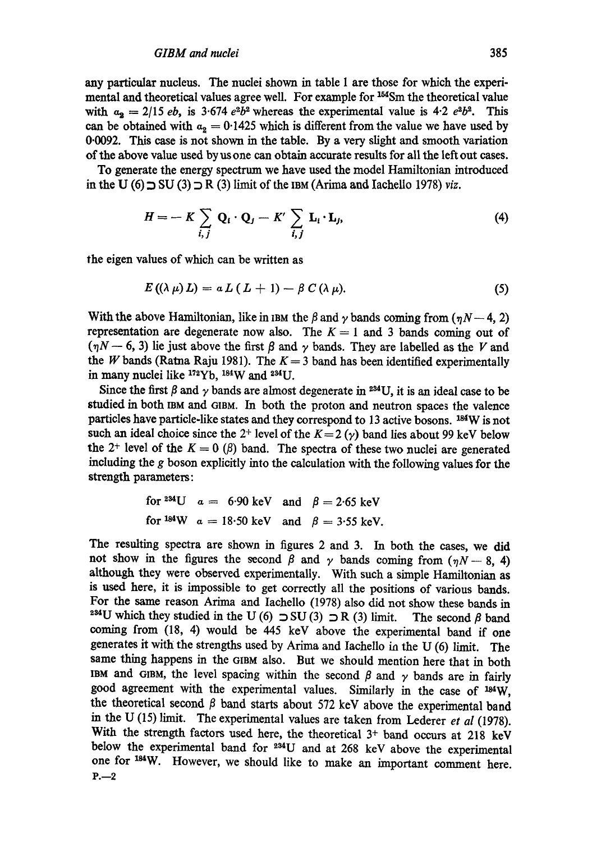any particular nucleus. The nuclei shown in table I are those for which the experimental and theoretical values agree well. For example for <sup>154</sup>Sm the theoretical value with  $a_2 = 2/15 e^b$ , is 3.674  $e^b b^2$  whereas the experimental value is 4.2  $e^b b^2$ . This can be obtained with  $a_2 = 0.1425$  which is different from the value we have used by 0.0092. This ease is not shown in the table. By a very slight and smooth variation of the above value used by usone can obtain accurate results for all the left out eases.

To generate the energy spectrum we have used the model Hamiltonian introduced in the U (6)  $\supset$  SU (3)  $\supset$  R (3) limit of the IBM (Arima and Iachello 1978) *viz.* 

$$
H = -K \sum_{i,j} \mathbf{Q}_i \cdot \mathbf{Q}_j - K' \sum_{i,j} \mathbf{L}_i \cdot \mathbf{L}_j, \tag{4}
$$

the eigen values of which can be written as

$$
E\left(\left(\lambda\,\mu\right)L\right)=a\,L\left(\,L+1\right)-\beta\,C\left(\lambda\,\mu\right).\tag{5}
$$

With the above Hamiltonian, like in IBM the  $\beta$  and  $\gamma$  bands coming from ( $\eta N-4$ , 2) representation are degenerate now also. The  $K = 1$  and 3 bands coming out of  $(\eta N - 6, 3)$  lie just above the first  $\beta$  and  $\gamma$  bands. They are labelled as the V and the W bands (Ratna Raju 1981). The  $K = 3$  band has been identified experimentally in many nuclei like  $172Yb$ ,  $184W$  and  $234U$ .

Since the first  $\beta$  and  $\gamma$  bands are almost degenerate in <sup>234</sup>U, it is an ideal case to be studied in both IBM and GIBM. In both the proton and neutron spaces the valence particles have particle-like states and they correspond to  $13$  active bosons.  $^{184}\text{W}$  is not such an ideal choice since the 2<sup>+</sup> level of the  $K=2$  ( $\gamma$ ) band lies about 99 keV below the 2<sup>+</sup> level of the  $K = 0$  ( $\beta$ ) band. The spectra of these two nuclei are generated including the g boson explicitly into the calculation with the following values for the strength parameters:

for <sup>234</sup>U 
$$
a = 6.90 \text{ keV}
$$
 and  $\beta = 2.65 \text{ keV}$   
for <sup>184</sup>W  $a = 18.50 \text{ keV}$  and  $\beta = 3.55 \text{ keV}$ .

The resulting spectra are shown in figures 2 and 3. In both the eases, we did not show in the figures the second  $\beta$  and  $\gamma$  bands coming from ( $\eta N-8$ , 4) although they were observed experimentally. With such a simple Hamiltonian as is used here, it is impossible to get correctly all the positions of various bands. For the same reason Arima and Iachello (1978) also did not show these bands in <sup>234</sup>U which they studied in the U (6)  $\supset$  SU (3)  $\supset$  R (3) limit. The second  $\beta$  band coming from (18, 4) would be 445 keV above the experimental band if one generates it with the strengths used by Arima and Iachello in the U (6) limit. The same thing happens in the GIBM also. But we should mention here that in both IBM and GIBM, the level spacing within the second  $\beta$  and  $\gamma$  bands are in fairly good agreement with the experimental values. Similarly in the case of <sup>184</sup>W, the theoretical second  $\beta$  band starts about 572 keV above the experimental band in the U (15) limit. The experimental values are taken from Lederer *et al* (1978). With the strength factors used here, the theoretical  $3<sup>+</sup>$  band occurs at 218 keV below the experimental band for  $234$ U and at 268 keV above the experimental one for <sup>184</sup>W. However, we should like to make an important comment here.  $P_{1}$  – 2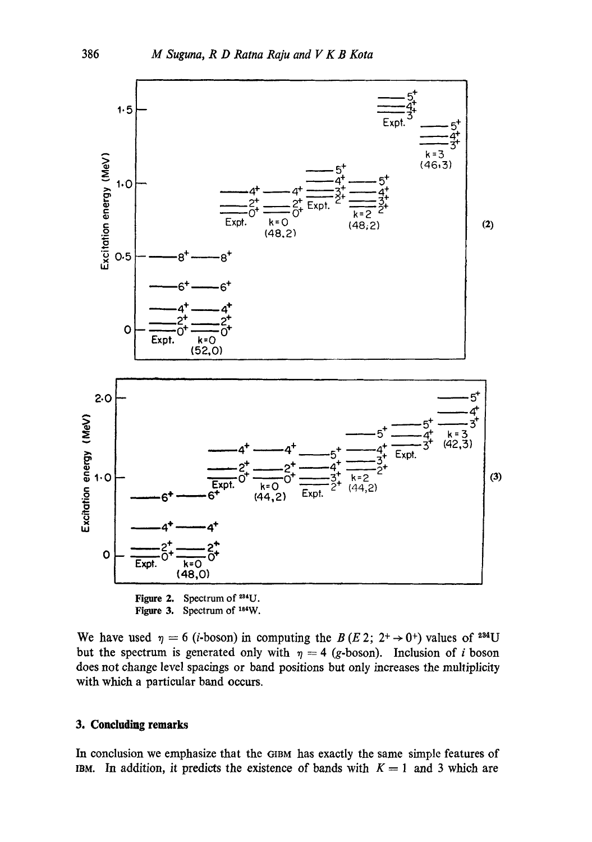

Figure 2. Spectrum of  $2^{34}U$ . Figure 3. Spectrum of 184W.

We have used  $\eta = 6$  (*i*-boson) in computing the B (E 2; 2<sup>+</sup>  $\rightarrow$  0<sup>+</sup>) values of <sup>234</sup>U but the spectrum is generated only with  $\eta = 4$  (g-boson). Inclusion of *i* boson does not change level spacings or band positions but only increases the multiplicity with which a particular band occurs.

## **3. Concluding remarks**

In conclusion we emphasize that the GIBM has exactly the same simple features of IBM. In addition, it predicts the existence of bands with  $K = 1$  and 3 which are